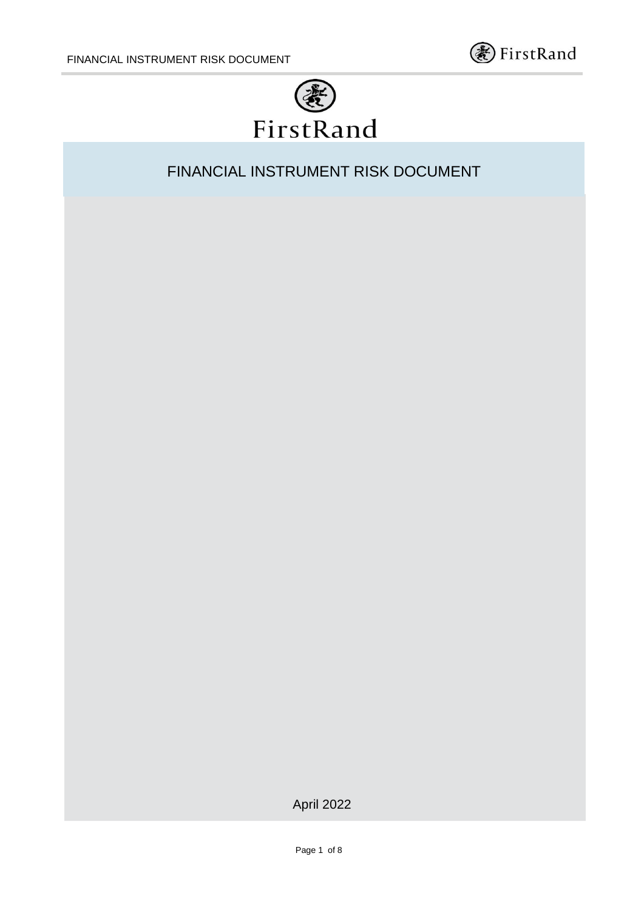



FINANCIAL INSTRUMENT RISK DOCUMENT

April 2022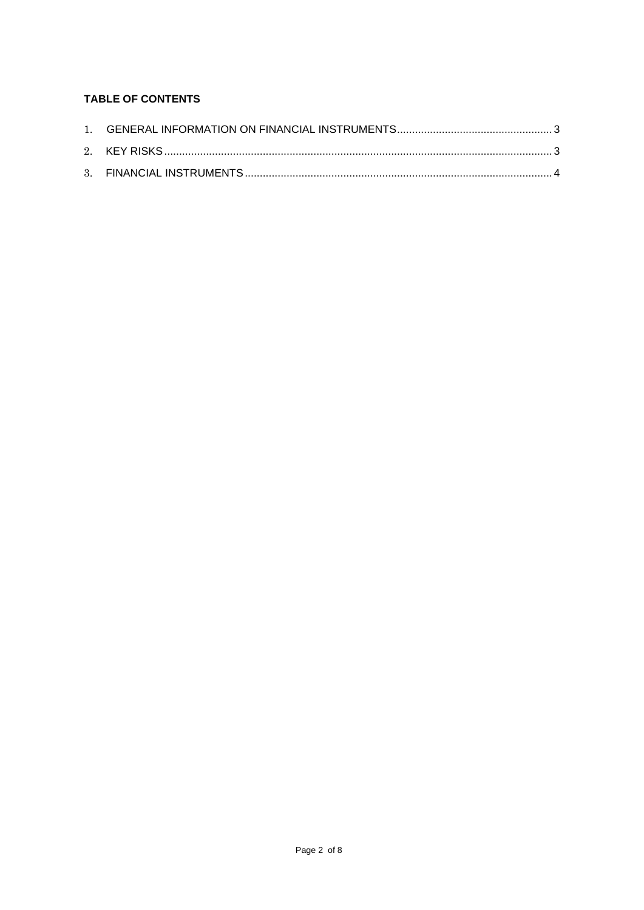# **TABLE OF CONTENTS**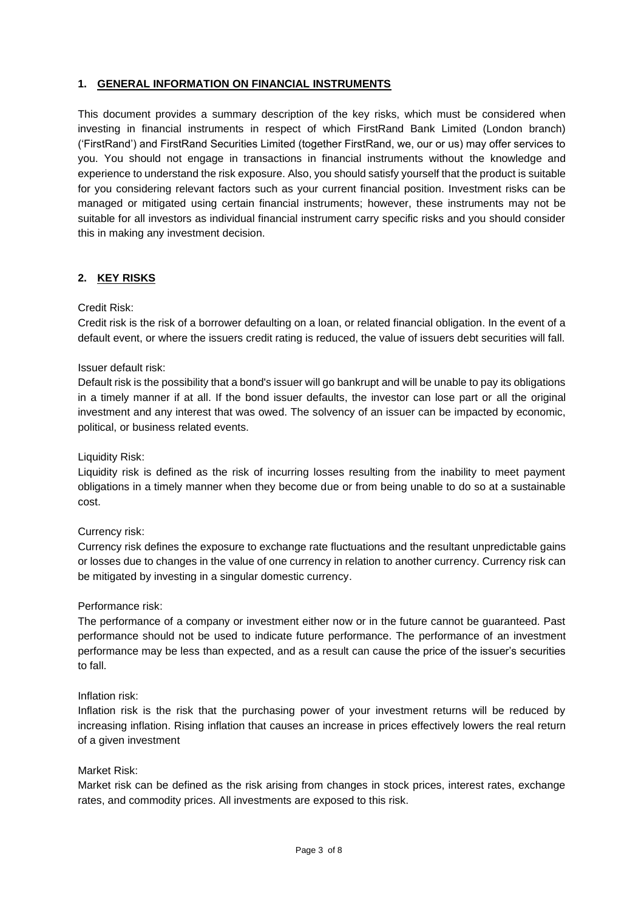## **1. GENERAL INFORMATION ON FINANCIAL INSTRUMENTS**

This document provides a summary description of the key risks, which must be considered when investing in financial instruments in respect of which FirstRand Bank Limited (London branch) ('FirstRand') and FirstRand Securities Limited (together FirstRand, we, our or us) may offer services to you. You should not engage in transactions in financial instruments without the knowledge and experience to understand the risk exposure. Also, you should satisfy yourself that the product is suitable for you considering relevant factors such as your current financial position. Investment risks can be managed or mitigated using certain financial instruments; however, these instruments may not be suitable for all investors as individual financial instrument carry specific risks and you should consider this in making any investment decision.

## **2. KEY RISKS**

### Credit Risk:

Credit risk is the risk of a borrower defaulting on a loan, or related financial obligation. In the event of a default event, or where the issuers credit rating is reduced, the value of issuers debt securities will fall.

### Issuer default risk:

Default risk is the possibility that a bond's issuer will go bankrupt and will be unable to pay its obligations in a timely manner if at all. If the bond issuer defaults, the investor can lose part or all the original investment and any interest that was owed. The solvency of an issuer can be impacted by economic, political, or business related events.

Liquidity Risk:

Liquidity risk is defined as the risk of incurring losses resulting from the inability to meet payment obligations in a timely manner when they become due or from being unable to do so at a sustainable cost.

### Currency risk:

Currency risk defines the exposure to exchange rate fluctuations and the resultant unpredictable gains or losses due to changes in the value of one currency in relation to another currency. Currency risk can be mitigated by investing in a singular domestic currency.

### Performance risk:

The performance of a company or investment either now or in the future cannot be guaranteed. Past performance should not be used to indicate future performance. The performance of an investment performance may be less than expected, and as a result can cause the price of the issuer's securities to fall.

#### Inflation risk:

Inflation risk is the risk that the purchasing power of your investment returns will be reduced by increasing inflation. Rising inflation that causes an increase in prices effectively lowers the real return of a given investment

### Market Risk:

Market risk can be defined as the risk arising from changes in stock prices, interest rates, exchange rates, and commodity prices. All investments are exposed to this risk.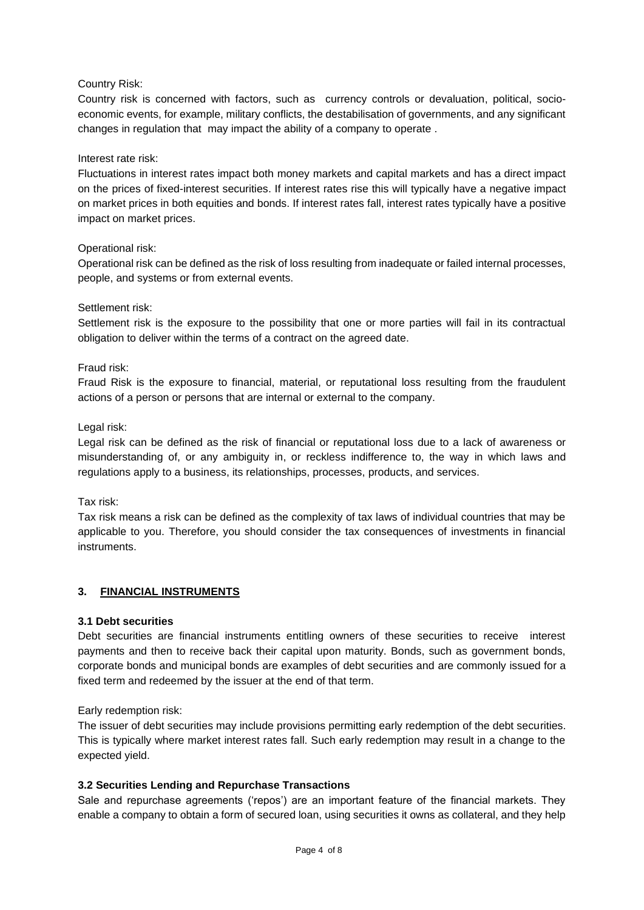## Country Risk:

Country risk is concerned with factors, such as currency controls or devaluation, political, socioeconomic events, for example, military conflicts, the destabilisation of governments, and any significant changes in regulation that may impact the ability of a company to operate .

## Interest rate risk:

Fluctuations in interest rates impact both money markets and capital markets and has a direct impact on the prices of fixed-interest securities. If interest rates rise this will typically have a negative impact on market prices in both equities and bonds. If interest rates fall, interest rates typically have a positive impact on market prices.

## Operational risk:

Operational risk can be defined as the risk of loss resulting from inadequate or failed internal processes, people, and systems or from external events.

### Settlement risk:

Settlement risk is the exposure to the possibility that one or more parties will fail in its contractual obligation to deliver within the terms of a contract on the agreed date.

## Fraud risk:

Fraud Risk is the exposure to financial, material, or reputational loss resulting from the fraudulent actions of a person or persons that are internal or external to the company.

### Legal risk:

Legal risk can be defined as the risk of financial or reputational loss due to a lack of awareness or misunderstanding of, or any ambiguity in, or reckless indifference to, the way in which laws and regulations apply to a business, its relationships, processes, products, and services.

## Tax risk:

Tax risk means a risk can be defined as the complexity of tax laws of individual countries that may be applicable to you. Therefore, you should consider the tax consequences of investments in financial instruments.

### **3. FINANCIAL INSTRUMENTS**

### **3.1 Debt securities**

Debt securities are financial instruments entitling owners of these securities to receive interest payments and then to receive back their capital upon maturity. Bonds, such as government bonds, corporate bonds and municipal bonds are examples of debt securities and are commonly issued for a fixed term and redeemed by the issuer at the end of that term.

Early redemption risk:

The issuer of debt securities may include provisions permitting early redemption of the debt securities. This is typically where market interest rates fall. Such early redemption may result in a change to the expected yield.

### **3.2 Securities Lending and Repurchase Transactions**

Sale and repurchase agreements ('repos') are an important feature of the financial markets. They enable a company to obtain a form of secured loan, using securities it owns as collateral, and they help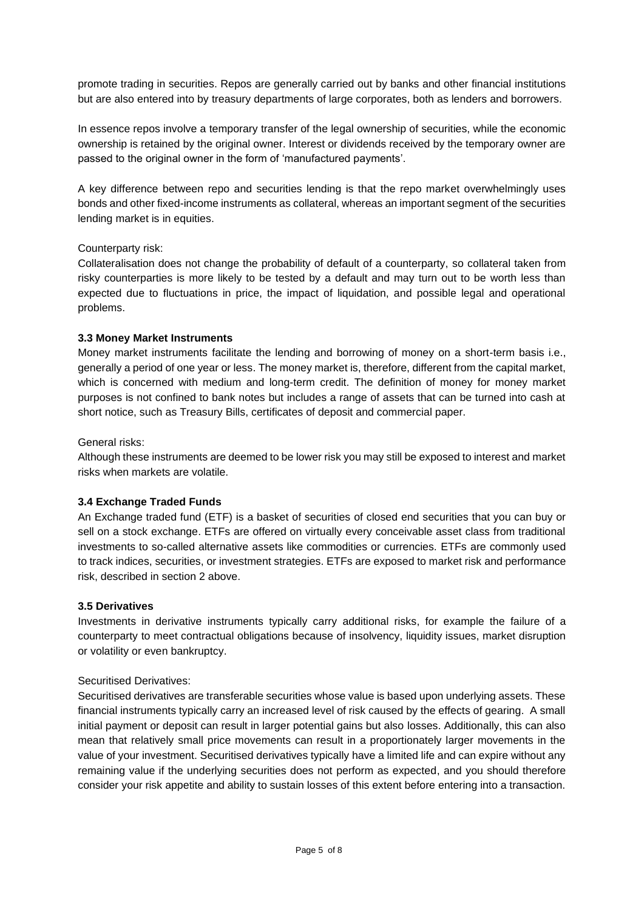promote trading in securities. Repos are generally carried out by banks and other financial institutions but are also entered into by treasury departments of large corporates, both as lenders and borrowers.

In essence repos involve a temporary transfer of the legal ownership of securities, while the economic ownership is retained by the original owner. Interest or dividends received by the temporary owner are passed to the original owner in the form of 'manufactured payments'.

A key difference between repo and securities lending is that the repo market overwhelmingly uses bonds and other fixed-income instruments as collateral, whereas an important segment of the securities lending market is in equities.

### Counterparty risk:

Collateralisation does not change the probability of default of a counterparty, so collateral taken from risky counterparties is more likely to be tested by a default and may turn out to be worth less than expected due to fluctuations in price, the impact of liquidation, and possible legal and operational problems.

#### **3.3 Money Market Instruments**

Money market instruments facilitate the lending and borrowing of money on a short-term basis i.e., generally a period of one year or less. The money market is, therefore, different from the capital market, which is concerned with medium and long-term credit. The definition of money for money market purposes is not confined to bank notes but includes a range of assets that can be turned into cash at short notice, such as Treasury Bills, certificates of deposit and commercial paper.

#### General risks:

Although these instruments are deemed to be lower risk you may still be exposed to interest and market risks when markets are volatile.

### **3.4 Exchange Traded Funds**

An Exchange traded fund (ETF) is a basket of securities of closed end securities that you can buy or sell on a stock exchange. ETFs are offered on virtually every conceivable asset class from traditional investments to so-called alternative assets like commodities or currencies. ETFs are commonly used to track indices, securities, or investment strategies. ETFs are exposed to market risk and performance risk, described in section 2 above.

#### **3.5 Derivatives**

Investments in derivative instruments typically carry additional risks, for example the failure of a counterparty to meet contractual obligations because of insolvency, liquidity issues, market disruption or volatility or even bankruptcy.

#### Securitised Derivatives:

Securitised derivatives are transferable securities whose value is based upon underlying assets. These financial instruments typically carry an increased level of risk caused by the effects of gearing. A small initial payment or deposit can result in larger potential gains but also losses. Additionally, this can also mean that relatively small price movements can result in a proportionately larger movements in the value of your investment. Securitised derivatives typically have a limited life and can expire without any remaining value if the underlying securities does not perform as expected, and you should therefore consider your risk appetite and ability to sustain losses of this extent before entering into a transaction.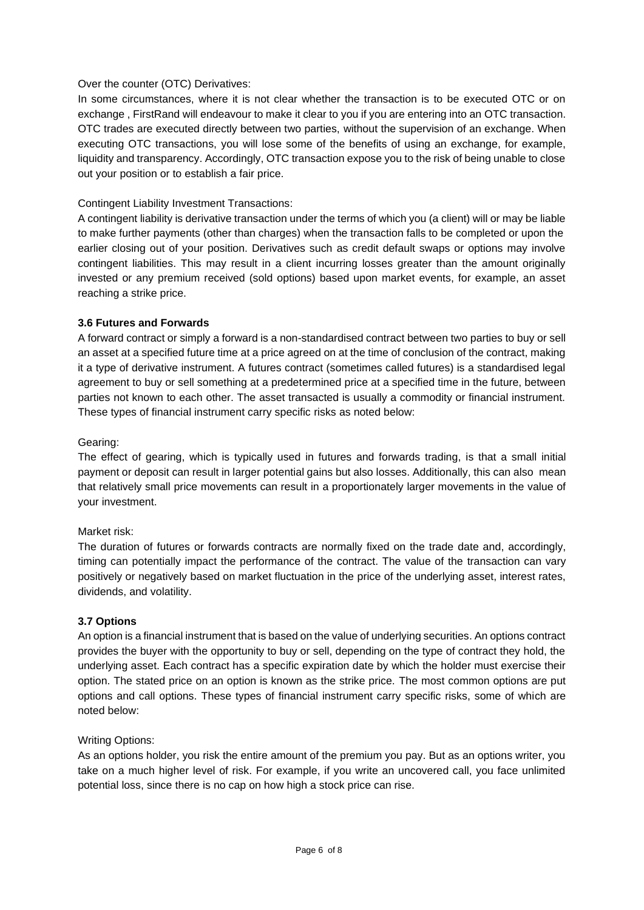### Over the counter (OTC) Derivatives:

In some circumstances, where it is not clear whether the transaction is to be executed OTC or on exchange , FirstRand will endeavour to make it clear to you if you are entering into an OTC transaction. OTC trades are executed directly between two parties, without the supervision of an exchange. When executing OTC transactions, you will lose some of the benefits of using an exchange, for example, liquidity and transparency. Accordingly, OTC transaction expose you to the risk of being unable to close out your position or to establish a fair price.

### Contingent Liability Investment Transactions:

A contingent liability is derivative transaction under the terms of which you (a client) will or may be liable to make further payments (other than charges) when the transaction falls to be completed or upon the earlier closing out of your position. Derivatives such as credit default swaps or options may involve contingent liabilities. This may result in a client incurring losses greater than the amount originally invested or any premium received (sold options) based upon market events, for example, an asset reaching a strike price.

### **3.6 Futures and Forwards**

A forward contract or simply a forward is a non-standardised contract between two parties to buy or sell an asset at a specified future time at a price agreed on at the time of conclusion of the contract, making it a type of derivative instrument. A futures contract (sometimes called futures) is a standardised legal agreement to buy or sell something at a predetermined price at a specified time in the future, between parties not known to each other. The asset transacted is usually a commodity or financial instrument. These types of financial instrument carry specific risks as noted below:

### Gearing:

The effect of gearing, which is typically used in futures and forwards trading, is that a small initial payment or deposit can result in larger potential gains but also losses. Additionally, this can also mean that relatively small price movements can result in a proportionately larger movements in the value of your investment.

### Market risk:

The duration of futures or forwards contracts are normally fixed on the trade date and, accordingly, timing can potentially impact the performance of the contract. The value of the transaction can vary positively or negatively based on market fluctuation in the price of the underlying asset, interest rates, dividends, and volatility.

### **3.7 Options**

An option is a financial instrument that is based on the value of underlying securities. An options contract provides the buyer with the opportunity to buy or sell, depending on the type of contract they hold, the underlying asset. Each contract has a specific expiration date by which the holder must exercise their option. The stated price on an option is known as the strike price. The most common options are put options and call options. These types of financial instrument carry specific risks, some of which are noted below:

### Writing Options:

As an options holder, you risk the entire amount of the premium you pay. But as an options writer, you take on a much higher level of risk. For example, if you write an uncovered call, you face unlimited potential loss, since there is no cap on how high a stock price can rise.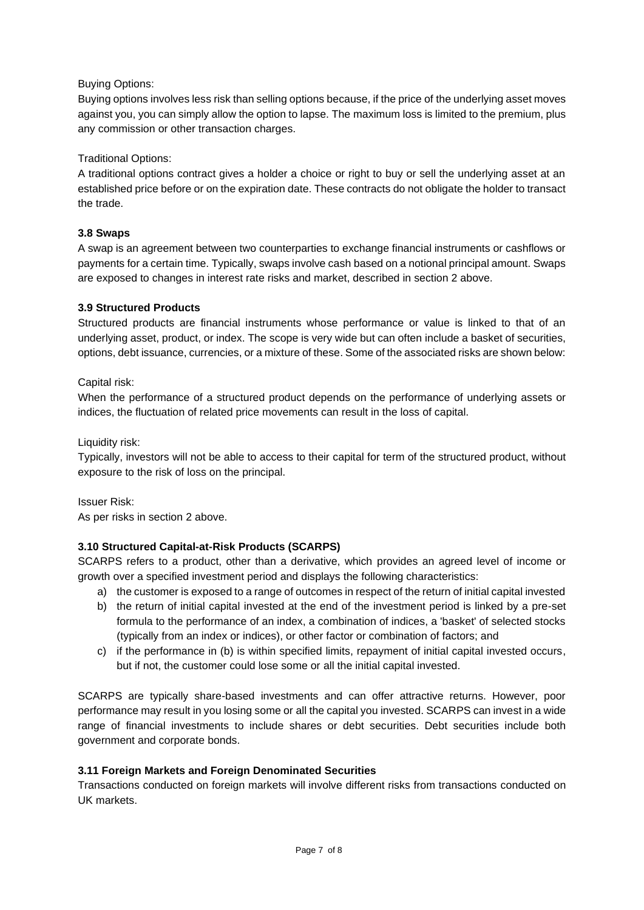# Buying Options:

Buying options involves less risk than selling options because, if the price of the underlying asset moves against you, you can simply allow the option to lapse. The maximum loss is limited to the premium, plus any commission or other transaction charges.

## Traditional Options:

A traditional options contract gives a holder a choice or right to buy or sell the underlying asset at an established price before or on the expiration date. These contracts do not obligate the holder to transact the trade.

## **3.8 Swaps**

A swap is an agreement between two counterparties to exchange financial instruments or cashflows or payments for a certain time. Typically, swaps involve cash based on a notional principal amount. Swaps are exposed to changes in interest rate risks and market, described in section 2 above.

## **3.9 Structured Products**

Structured products are financial instruments whose performance or value is linked to that of an underlying asset, product, or index. The scope is very wide but can often include a basket of securities, options, debt issuance, currencies, or a mixture of these. Some of the associated risks are shown below:

## Capital risk:

When the performance of a structured product depends on the performance of underlying assets or indices, the fluctuation of related price movements can result in the loss of capital.

Liquidity risk:

Typically, investors will not be able to access to their capital for term of the structured product, without exposure to the risk of loss on the principal.

Issuer Risk: As per risks in section 2 above.

# **3.10 Structured Capital-at-Risk Products (SCARPS)**

SCARPS refers to a product, other than a derivative, which provides an agreed level of income or growth over a specified investment period and displays the following characteristics:

- a) the customer is exposed to a range of outcomes in respect of the return of initial capital invested
- b) the return of initial capital invested at the end of the investment period is linked by a pre-set formula to the performance of an index, a combination of indices, a 'basket' of selected stocks (typically from an index or indices), or other factor or combination of factors; and
- c) if the performance in (b) is within specified limits, repayment of initial capital invested occurs, but if not, the customer could lose some or all the initial capital invested.

SCARPS are typically share-based investments and can offer attractive returns. However, poor performance may result in you losing some or all the capital you invested. SCARPS can invest in a wide range of financial investments to include shares or debt securities. Debt securities include both government and corporate bonds.

### **3.11 Foreign Markets and Foreign Denominated Securities**

Transactions conducted on foreign markets will involve different risks from transactions conducted on UK markets.